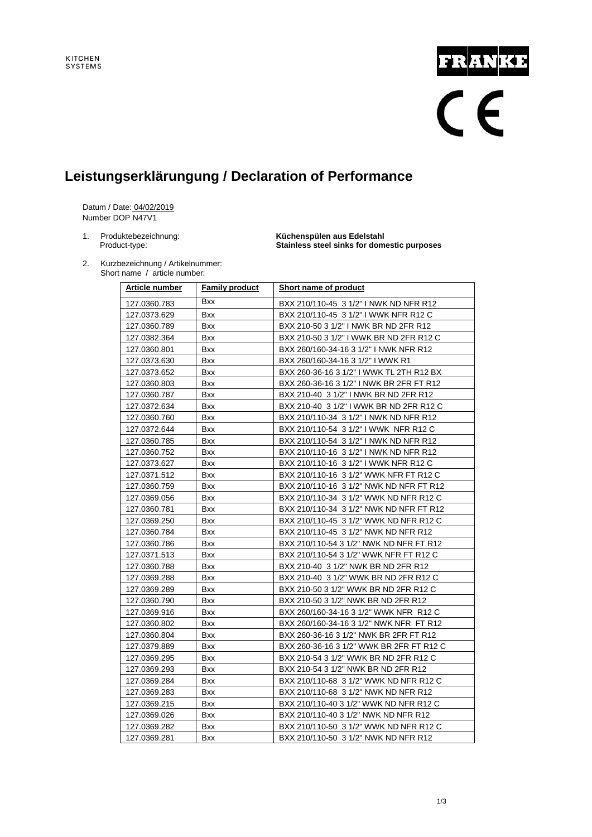# FRANKE

### **Leistungserklärungung / Declaration of Performance**

Datum / Date: 04/02/2019 Number DOP N47V1

1. Produktebezeichnung: **Küchenspülen aus Edelstahl** Product-type: **Stainless steel sinks for domestic purposes**

2. Kurzbezeichnung / Artikelnummer: Short name / article number:

| Article number | <b>Family product</b> | Short name of product                    |  |
|----------------|-----------------------|------------------------------------------|--|
| 127.0360.783   | <b>Bxx</b>            | BXX 210/110-45 3 1/2" I NWK ND NFR R12   |  |
| 127.0373.629   | <b>Bxx</b>            | BXX 210/110-45 3 1/2" I WWK NFR R12 C    |  |
| 127.0360.789   | Bxx                   | BXX 210-50 3 1/2" I NWK BR ND 2FR R12    |  |
| 127.0382.364   | <b>Bxx</b>            | BXX 210-50 3 1/2" I WWK BR ND 2FR R12 C  |  |
| 127.0360.801   | Bxx                   | BXX 260/160-34-16 3 1/2" I NWK NFR R12   |  |
| 127.0373.630   | Bxx                   | BXX 260/160-34-16 3 1/2" I WWK R1        |  |
| 127.0373.652   | <b>Bxx</b>            | BXX 260-36-16 3 1/2" I WWK TL 2TH R12 BX |  |
| 127.0360.803   | Bxx                   | BXX 260-36-16 3 1/2" I NWK BR 2FR FT R12 |  |
| 127.0360.787   | Bxx                   | BXX 210-40 3 1/2" I NWK BR ND 2FR R12    |  |
| 127.0372.634   | <b>Bxx</b>            | BXX 210-40 3 1/2" I WWK BR ND 2FR R12 C  |  |
| 127.0360.760   | Bxx                   | BXX 210/110-34 3 1/2" I NWK ND NFR R12   |  |
| 127.0372.644   | <b>Bxx</b>            | BXX 210/110-54 3 1/2" I WWK NFR R12 C    |  |
| 127.0360.785   | Bxx                   | BXX 210/110-54 3 1/2" I NWK ND NFR R12   |  |
| 127.0360.752   | Bxx                   | BXX 210/110-16 3 1/2" I NWK ND NFR R12   |  |
| 127.0373.627   | <b>Bxx</b>            | BXX 210/110-16 3 1/2" I WWK NFR R12 C    |  |
| 127.0371.512   | <b>Bxx</b>            | BXX 210/110-16 3 1/2" WWK NFR FT R12 C   |  |
| 127.0360.759   | <b>Bxx</b>            | BXX 210/110-16 3 1/2" NWK ND NFR FT R12  |  |
| 127.0369.056   | <b>Bxx</b>            | BXX 210/110-34 3 1/2" WWK ND NFR R12 C   |  |
| 127.0360.781   | Bxx                   | BXX 210/110-34 3 1/2" NWK ND NFR FT R12  |  |
| 127.0369.250   | Bxx                   | BXX 210/110-45 3 1/2" WWK ND NFR R12 C   |  |
| 127.0360.784   | Bxx                   | BXX 210/110-45 3 1/2" NWK ND NFR R12     |  |
| 127.0360.786   | <b>Bxx</b>            | BXX 210/110-54 3 1/2" NWK ND NFR FT R12  |  |
| 127.0371.513   | Bxx                   | BXX 210/110-54 3 1/2" WWK NFR FT R12 C   |  |
| 127.0360.788   | <b>Bxx</b>            | BXX 210-40 3 1/2" NWK BR ND 2FR R12      |  |
| 127.0369.288   | Bxx                   | BXX 210-40 3 1/2" WWK BR ND 2FR R12 C    |  |
| 127.0369.289   | <b>Bxx</b>            | BXX 210-50 3 1/2" WWK BR ND 2FR R12 C    |  |
| 127.0360.790   | <b>Bxx</b>            | BXX 210-50 3 1/2" NWK BR ND 2FR R12      |  |
| 127.0369.916   | Bxx                   | BXX 260/160-34-16 3 1/2" WWK NFR R12 C   |  |
| 127.0360.802   | <b>Bxx</b>            | BXX 260/160-34-16 3 1/2" NWK NFR FT R12  |  |
| 127.0360.804   | Bxx                   | BXX 260-36-16 3 1/2" NWK BR 2FR FT R12   |  |
| 127.0379.889   | Bxx                   | BXX 260-36-16 3 1/2" WWK BR 2FR FT R12 C |  |
| 127.0369.295   | Bxx                   | BXX 210-54 3 1/2" WWK BR ND 2FR R12 C    |  |
| 127.0369.293   | Bxx                   | BXX 210-54 3 1/2" NWK BR ND 2FR R12      |  |
| 127.0369.284   | <b>Bxx</b>            | BXX 210/110-68 3 1/2" WWK ND NFR R12 C   |  |
| 127.0369.283   | Bxx                   | BXX 210/110-68 3 1/2" NWK ND NFR R12     |  |
| 127.0369.215   | Bxx                   | BXX 210/110-40 3 1/2" WWK ND NFR R12 C   |  |
| 127.0369.026   | <b>Bxx</b>            | BXX 210/110-40 3 1/2" NWK ND NFR R12     |  |
| 127.0369.282   | <b>Bxx</b>            | BXX 210/110-50 3 1/2" WWK ND NFR R12 C   |  |
| 127.0369.281   | Bxx                   | BXX 210/110-50 3 1/2" NWK ND NFR R12     |  |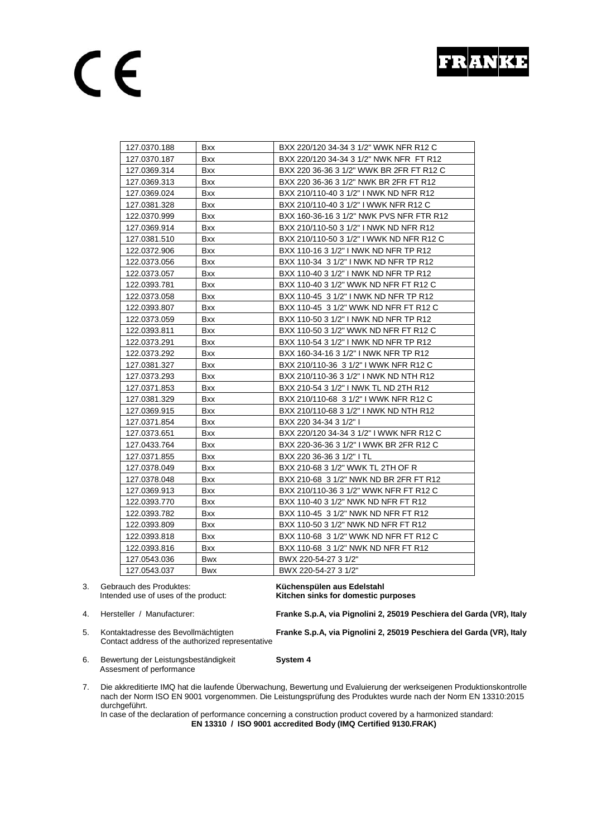## CE

| 127.0370.188 | Bxx        | BXX 220/120 34-34 3 1/2" WWK NFR R12 C   |  |
|--------------|------------|------------------------------------------|--|
| 127.0370.187 | <b>Bxx</b> | BXX 220/120 34-34 3 1/2" NWK NFR FT R12  |  |
| 127.0369.314 | Bxx        | BXX 220 36-36 3 1/2" WWK BR 2FR FT R12 C |  |
| 127.0369.313 | Bxx        | BXX 220 36-36 3 1/2" NWK BR 2FR FT R12   |  |
| 127.0369.024 | <b>Bxx</b> | BXX 210/110-40 3 1/2" I NWK ND NFR R12   |  |
| 127.0381.328 | <b>Bxx</b> | BXX 210/110-40 3 1/2" I WWK NFR R12 C    |  |
| 122.0370.999 | <b>Bxx</b> | BXX 160-36-16 3 1/2" NWK PVS NFR FTR R12 |  |
| 127.0369.914 | Bxx        | BXX 210/110-50 3 1/2" I NWK ND NFR R12   |  |
| 127.0381.510 | Bxx        | BXX 210/110-50 3 1/2" I WWK ND NFR R12 C |  |
| 122.0372.906 | Bxx        | BXX 110-16 3 1/2" I NWK ND NFR TP R12    |  |
| 122.0373.056 | Bxx        | BXX 110-34 3 1/2" I NWK ND NFR TP R12    |  |
| 122.0373.057 | Bxx        | BXX 110-40 3 1/2" I NWK ND NFR TP R12    |  |
| 122.0393.781 | Bxx        | BXX 110-40 3 1/2" WWK ND NFR FT R12 C    |  |
| 122.0373.058 | <b>Bxx</b> | BXX 110-45 3 1/2" I NWK ND NFR TP R12    |  |
| 122.0393.807 | Bxx        | BXX 110-45 3 1/2" WWK ND NFR FT R12 C    |  |
| 122.0373.059 | <b>Bxx</b> | BXX 110-50 3 1/2" I NWK ND NFR TP R12    |  |
| 122.0393.811 | <b>Bxx</b> | BXX 110-50 3 1/2" WWK ND NFR FT R12 C    |  |
| 122.0373.291 | Bxx        | BXX 110-54 3 1/2" I NWK ND NFR TP R12    |  |
| 122.0373.292 | Bxx        | BXX 160-34-16 3 1/2" I NWK NFR TP R12    |  |
| 127.0381.327 | <b>Bxx</b> | BXX 210/110-36 3 1/2" I WWK NFR R12 C    |  |
| 127.0373.293 | Bxx        | BXX 210/110-36 3 1/2" I NWK ND NTH R12   |  |
| 127.0371.853 | Bxx        | BXX 210-54 3 1/2" I NWK TL ND 2TH R12    |  |
| 127.0381.329 | Bxx        | BXX 210/110-68 3 1/2" I WWK NFR R12 C    |  |
| 127.0369.915 | <b>Bxx</b> | BXX 210/110-68 3 1/2" I NWK ND NTH R12   |  |
| 127.0371.854 | <b>Bxx</b> | BXX 220 34-34 3 1/2" I                   |  |
| 127.0373.651 | <b>Bxx</b> | BXX 220/120 34-34 3 1/2" I WWK NFR R12 C |  |
| 127.0433.764 | Bxx        | BXX 220-36-36 3 1/2" I WWK BR 2FR R12 C  |  |
| 127.0371.855 | Bxx        | BXX 220 36-36 3 1/2" I TL                |  |
| 127.0378.049 | Bxx        | BXX 210-68 3 1/2" WWK TL 2TH OF R        |  |
| 127.0378.048 | Bxx        | BXX 210-68 3 1/2" NWK ND BR 2FR FT R12   |  |
| 127.0369.913 | <b>Bxx</b> | BXX 210/110-36 3 1/2" WWK NFR FT R12 C   |  |
| 122.0393.770 | <b>Bxx</b> | BXX 110-40 3 1/2" NWK ND NFR FT R12      |  |
| 122.0393.782 | Bxx        | BXX 110-45 3 1/2" NWK ND NFR FT R12      |  |
| 122.0393.809 | Bxx        | BXX 110-50 3 1/2" NWK ND NFR FT R12      |  |
| 122.0393.818 | Bxx        | BXX 110-68 3 1/2" WWK ND NFR FT R12 C    |  |
| 122.0393.816 | Bxx        | BXX 110-68 3 1/2" NWK ND NFR FT R12      |  |
| 127.0543.036 | Bwx        | BWX 220-54-27 3 1/2"                     |  |
| 127.0543.037 | <b>Bwx</b> | BWX 220-54-27 3 1/2"                     |  |
|              |            |                                          |  |

3. Gebrauch des Produktes: **Küchenspülen aus Edelstahl**

Intended use of uses of the product: **Kitchen sinks for domestic purposes**

4. Hersteller / Manufacturer: **Franke S.p.A, via Pignolini 2, 25019 Peschiera del Garda (VR), Italy**

5. Kontaktadresse des Bevollmächtigten **Franke S.p.A, via Pignolini 2, 25019 Peschiera del Garda (VR), Italy** Contact address of the authorized representative

6. Bewertung der Leistungsbeständigkeit **System 4** Assesment of performance

7. Die akkreditierte IMQ hat die laufende Überwachung, Bewertung und Evaluierung der werkseigenen Produktionskontrolle nach der Norm ISO EN 9001 vorgenommen. Die Leistungsprüfung des Produktes wurde nach der Norm EN 13310:2015 durchgeführt.

In case of the declaration of performance concerning a construction product covered by a harmonized standard:  **EN 13310 / ISO 9001 accredited Body (IMQ Certified 9130.FRAK)**